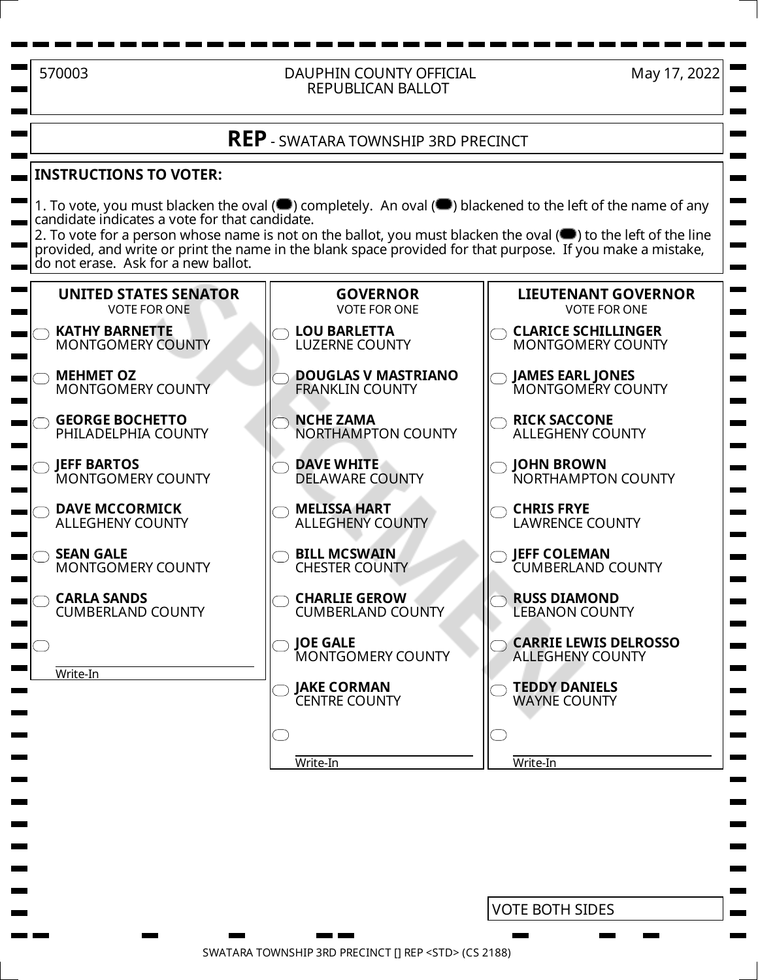## 570003 DAUPHIN COUNTY OFFICIAL REPUBLICAN BALLOT

May 17, 2022

## **REP** - SWATARA TOWNSHIP 3RD PRECINCT

## **INSTRUCTIONS TO VOTER:**

1. To vote, you must blacken the oval ( $\blacksquare$ ) completely. An oval ( $\blacksquare$ ) blackened to the left of the name of any candidate indicates a vote for that candidate.

2. To vote for a person whose name is not on the ballot, you must blacken the oval  $($ **)** to the left of the line provided, and write or print the name in the blank space provided for that purpose. If you make a mistake, do not erase. Ask for a new ballot.



VOTE BOTH SIDES